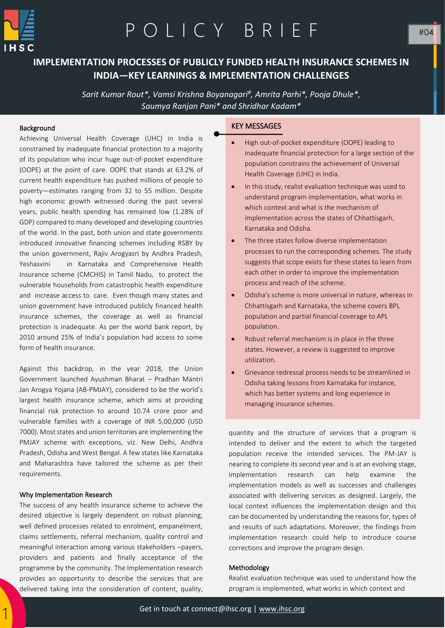

# P O L I C Y B R I E F

### **IMPLEMENTATION PROCESSES OF PUBLICLY FUNDED HEALTH INSURANCE SCHEMES IN INDIA—KEY LEARNINGS & IMPLEMENTATION CHALLENGES**

*Sarit Kumar Rout\*, Vamsi Krishna Boyanagari# , Amrita Parhi\*, Pooja Dhule\*, Saumya Ranjan Pani\* and Shridhar Kadam\**

#### Background

Achieving Universal Health Coverage (UHC) in India is constrained by inadequate financial protection to a majority of its population who incur huge out-of-pocket expenditure (OOPE) at the point of care. OOPE that stands at 63.2% of current health expenditure has pushed millions of people to poverty—estimates ranging from 32 to 55 million. Despite high economic growth witnessed during the past several years, public health spending has remained low (1.28% of GDP) compared to many developed and developing countries of the world. In the past, both union and state governments introduced innovative financing schemes including RSBY by the union government, Rajiv Arogyasri by Andhra Pradesh, Yeshasvini in Karnataka and Comprehensive Health Insurance scheme (CMCHIS) in Tamil Nadu, to protect the vulnerable households from catastrophic health expenditure and increase access to care. Even though many states and union government have introduced publicly financed health insurance schemes, the coverage as well as financial protection is inadequate. As per the world bank report, by 2010 around 25% of India's population had access to some form of health insurance.

Against this backdrop, in the year 2018, the Union Government launched Ayushman Bharat – Pradhan Mantri Jan Arogya Yojana (AB-PMJAY), considered to be the world's largest health insurance scheme, which aims at providing financial risk protection to around 10.74 crore poor and vulnerable families with a coverage of INR 5,00,000 (USD 7000). Most states and union territories are implementing the PMJAY scheme with exceptions, viz. New Delhi, Andhra Pradesh, Odisha and West Bengal. A few states like Karnataka and Maharashtra have tailored the scheme as per their requirements.

#### Why Implementation Research

**quantity** 

1

The success of any health insurance scheme to achieve the desired objective is largely dependent on robust planning, well defined processes related to enrolment, empanelment, claims settlements, referral mechanism, quality control and meaningful interaction among various stakeholders –payers, providers and patients and finally acceptance of the programme by the community. The Implementation research provides an opportunity to describe the services that are delivered taking into the consideration of content, quality,

#### KEY MESSAGES

- High out-of-pocket expenditure (OOPE) leading to inadequate financial protection for a large section of the population constrains the achievement of Universal Health Coverage (UHC) in India.
- In this study, realist evaluation technique was used to understand program implementation, what works in which context and what is the mechanism of implementation across the states of Chhattisgarh, Karnataka and Odisha.
- The three states follow diverse implementation processes to run the corresponding schemes. The study suggests that scope exists for these states to learn from each other in order to improve the implementation process and reach of the scheme.
- Odisha's scheme is more universal in nature, whereas in Chhattisgarh and Karnataka, the scheme covers BPL population and partial financial coverage to APL population.
- Robust referral mechanism is in place in the three states. However, a review is suggested to improve utilization.
- Grievance redressal process needs to be streamlined in Odisha taking lessons from Karnataka for instance, which has better systems and long experience in managing insurance schemes.

quantity and the structure of services that a program is intended to deliver and the extent to which the targeted population receive the intended services. The PM-JAY is nearing to complete its second year and is at an evolving stage, implementation research can help examine the implementation models as well as successes and challenges associated with delivering services as designed. Largely, the local context influences the implementation design and this can be documented by understanding the reasons for, types of and results of such adaptations. Moreover, the findings from implementation research could help to introduce course corrections and improve the program design.

#### Methodology

Realist evaluation technique was used to understand how the program is implemented, what works in which context and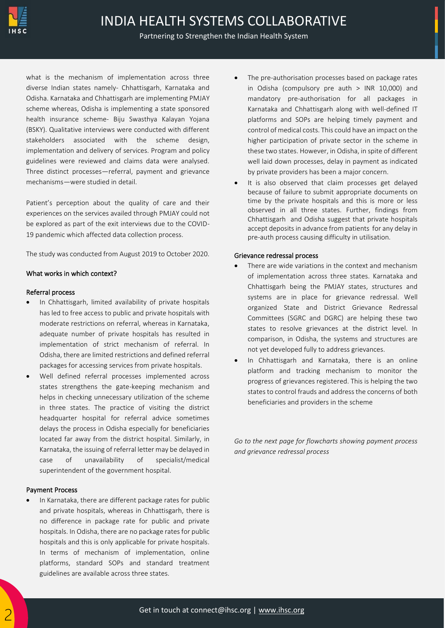

#### Partnering to Strengthen the Indian Health System

what is the mechanism of implementation across three diverse Indian states namely- Chhattisgarh, Karnataka and Odisha. Karnataka and Chhattisgarh are implementing PMJAY scheme whereas, Odisha is implementing a state sponsored health insurance scheme- Biju Swasthya Kalayan Yojana (BSKY). Qualitative interviews were conducted with different stakeholders associated with the scheme design, implementation and delivery of services. Program and policy guidelines were reviewed and claims data were analysed. Three distinct processes—referral, payment and grievance mechanisms—were studied in detail.

Patient's perception about the quality of care and their experiences on the services availed through PMJAY could not be explored as part of the exit interviews due to the COVID-19 pandemic which affected data collection process.

The study was conducted from August 2019 to October 2020.

#### What works in which context?

#### Referral process

- In Chhattisgarh, limited availability of private hospitals has led to free access to public and private hospitals with moderate restrictions on referral, whereas in Karnataka, adequate number of private hospitals has resulted in implementation of strict mechanism of referral. In Odisha, there are limited restrictions and defined referral packages for accessing services from private hospitals.
- Well defined referral processes implemented across states strengthens the gate-keeping mechanism and helps in checking unnecessary utilization of the scheme in three states. The practice of visiting the district headquarter hospital for referral advice sometimes delays the process in Odisha especially for beneficiaries located far away from the district hospital. Similarly, in Karnataka, the issuing of referral letter may be delayed in case of unavailability of specialist/medical superintendent of the government hospital.

#### Payment Process

• In Karnataka, there are different package rates for public and private hospitals, whereas in Chhattisgarh, there is no difference in package rate for public and private hospitals. In Odisha, there are no package rates for public hospitals and this is only applicable for private hospitals. In terms of mechanism of implementation, online platforms, standard SOPs and standard treatment guidelines are available across three states.

- The pre-authorisation processes based on package rates in Odisha (compulsory pre auth > INR 10,000) and mandatory pre-authorisation for all packages in Karnataka and Chhattisgarh along with well-defined IT platforms and SOPs are helping timely payment and control of medical costs. This could have an impact on the higher participation of private sector in the scheme in these two states. However, in Odisha, in spite of different well laid down processes, delay in payment as indicated by private providers has been a major concern.
- It is also observed that claim processes get delayed because of failure to submit appropriate documents on time by the private hospitals and this is more or less observed in all three states. Further, findings from Chhattisgarh and Odisha suggest that private hospitals accept deposits in advance from patients for any delay in pre-auth process causing difficulty in utilisation.

#### Grievance redressal process

- There are wide variations in the context and mechanism of implementation across three states. Karnataka and Chhattisgarh being the PMJAY states, structures and systems are in place for grievance redressal. Well organized State and District Grievance Redressal Committees (SGRC and DGRC) are helping these two states to resolve grievances at the district level. In comparison, in Odisha, the systems and structures are not yet developed fully to address grievances.
- In Chhattisgarh and Karnataka, there is an online platform and tracking mechanism to monitor the progress of grievances registered. This is helping the two states to control frauds and address the concerns of both beneficiaries and providers in the scheme

*Go to the next page for flowcharts showing payment process and grievance redressal process*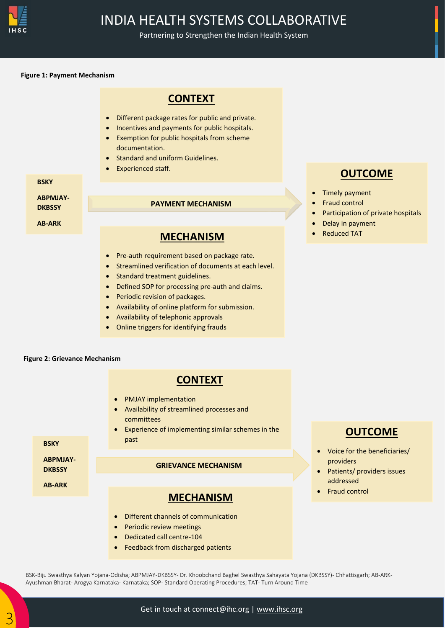

## INDIA HEALTH SYSTEMS COLLABORATIVE

Partnering to Strengthen the Indian Health System

#### **Figure 1: Payment Mechanism**





• Feedback from discharged patients

**OUTCOME**

- Voice for the beneficiaries/ providers
- Patients/ providers issues addressed
- Fraud control

BSK-Biju Swasthya Kalyan Yojana-Odisha; ABPMJAY-DKBSSY- Dr. Khoobchand Baghel Swasthya Sahayata Yojana (DKBSSY)- Chhattisgarh; AB-ARK-Ayushman Bharat- Arogya Karnataka- Karnataka; SOP- Standard Operating Procedures; TAT- Turn Around Time